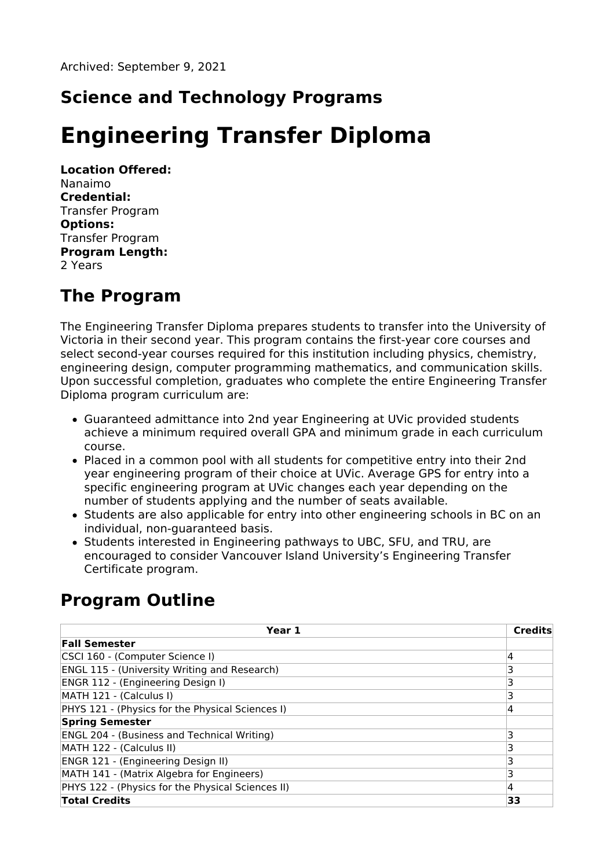# **Science and Technology Programs**

# **Engineering Transfer Diploma**

**Location Offered:** Nanaimo **Credential:** Transfer Program **Options:** Transfer Program **Program Length:** 2 Years

## **The Program**

The Engineering Transfer Diploma prepares students to transfer into the University of Victoria in their second year. This program contains the first-year core courses and select second-year courses required for this institution including physics, chemistry, engineering design, computer programming mathematics, and communication skills. Upon successful completion, graduates who complete the entire Engineering Transfer Diploma program curriculum are:

- Guaranteed admittance into 2nd year Engineering at UVic provided students achieve a minimum required overall GPA and minimum grade in each curriculum course.
- Placed in a common pool with all students for competitive entry into their 2nd year engineering program of their choice at UVic. Average GPS for entry into a specific engineering program at UVic changes each year depending on the number of students applying and the number of seats available.
- Students are also applicable for entry into other engineering schools in BC on an individual, non-guaranteed basis.
- Students interested in Engineering pathways to UBC, SFU, and TRU, are encouraged to consider Vancouver Island University's Engineering Transfer Certificate program.

# **Program Outline**

| Year 1                                              | Credits |
|-----------------------------------------------------|---------|
| <b>Fall Semester</b>                                |         |
| CSCI 160 - (Computer Science I)                     | 4       |
| <b>ENGL 115 - (University Writing and Research)</b> | 3       |
| ENGR 112 - (Engineering Design I)                   |         |
| MATH 121 - (Calculus I)                             | 3       |
| PHYS 121 - (Physics for the Physical Sciences I)    | 4       |
| <b>Spring Semester</b>                              |         |
| <b>ENGL 204 - (Business and Technical Writing)</b>  | ٦       |
| MATH 122 - (Calculus II)                            | 3       |
| ENGR 121 - (Engineering Design II)                  | 3       |
| MATH 141 - (Matrix Algebra for Engineers)           | 3       |
| PHYS 122 - (Physics for the Physical Sciences II)   | 4       |
| <b>Total Credits</b>                                | 33      |